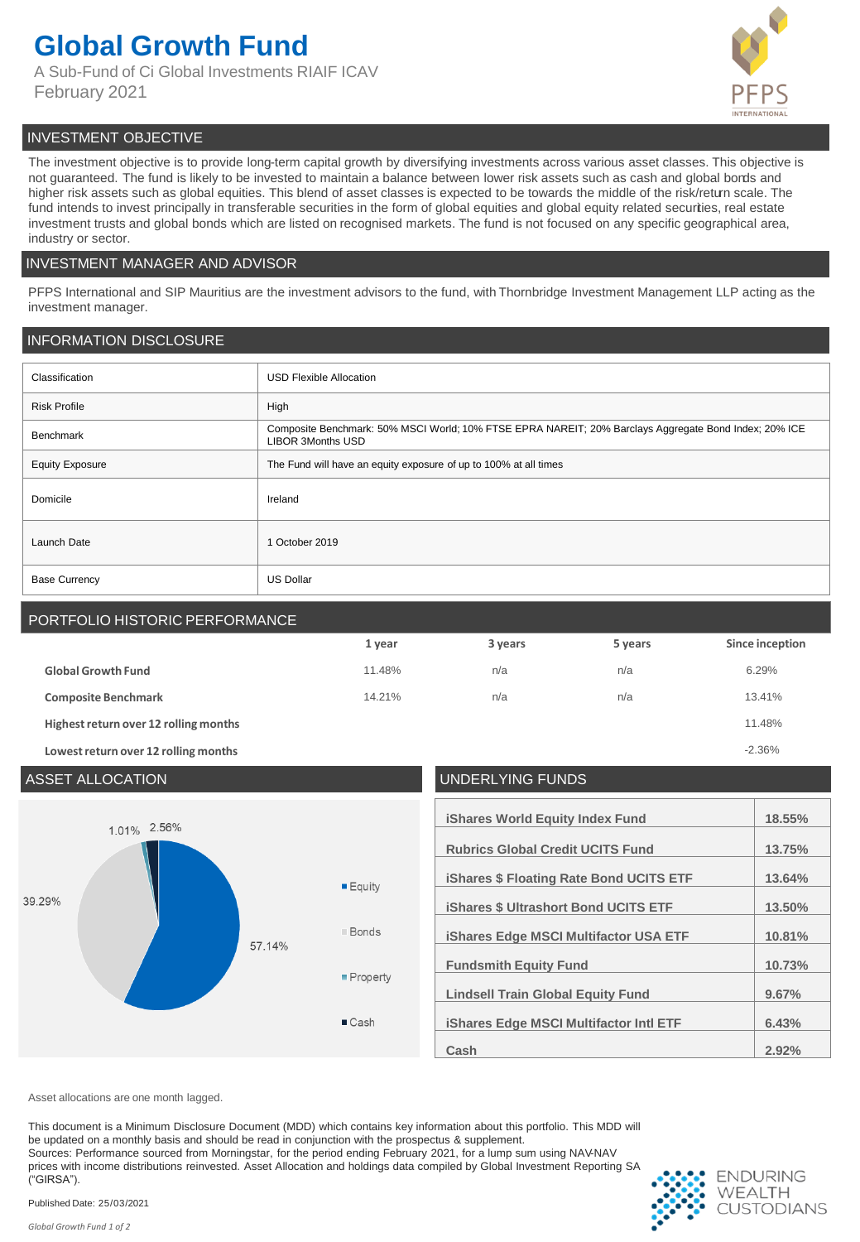## **Global Growth Fund**

A Sub-Fund of Ci Global Investments RIAIF ICAV February 2021



#### INVESTMENT OBJECTIVE

The investment objective is to provide long-term capital growth by diversifying investments across various asset classes. This objective is not guaranteed. The fund is likely to be invested to maintain a balance between lower risk assets such as cash and global bonds and higher risk assets such as global equities. This blend of asset classes is expected to be towards the middle of the risk/return scale. The fund intends to invest principally in transferable securities in the form of global equities and global equity related securities, real estate investment trusts and global bonds which are listed on recognised markets. The fund is not focused on any specific geographical area, industry or sector.

#### INVESTMENT MANAGER AND ADVISOR

PFPS International and SIP Mauritius are the investment advisors to the fund, with Thornbridge Investment Management LLP acting as the investment manager.

#### INFORMATION DISCLOSURE

| Classification         | <b>USD Flexible Allocation</b>                                                                                             |
|------------------------|----------------------------------------------------------------------------------------------------------------------------|
| <b>Risk Profile</b>    | High                                                                                                                       |
| Benchmark              | Composite Benchmark: 50% MSCI World; 10% FTSE EPRA NAREIT; 20% Barclays Aggregate Bond Index; 20% ICE<br>LIBOR 3Months USD |
| <b>Equity Exposure</b> | The Fund will have an equity exposure of up to 100% at all times                                                           |
| Domicile               | Ireland                                                                                                                    |
| Launch Date            | 1 October 2019                                                                                                             |
| <b>Base Currency</b>   | <b>US Dollar</b>                                                                                                           |

### PORTFOLIO HISTORIC PERFORMANCE

|                                       | 1 year | 3 years | 5 years | Since inception |
|---------------------------------------|--------|---------|---------|-----------------|
| <b>Global Growth Fund</b>             | 11.48% | n/a     | n/a     | 6.29%           |
| <b>Composite Benchmark</b>            | 14.21% | n/a     | n/a     | 13.41%          |
| Highest return over 12 rolling months |        |         |         | 11.48%          |
| Lowest return over 12 rolling months  |        |         |         | $-2.36%$        |



| <b>iShares World Equity Index Fund</b>         | 18.55% |
|------------------------------------------------|--------|
| <b>Rubrics Global Credit UCITS Fund</b>        | 13.75% |
|                                                |        |
| <b>iShares \$ Floating Rate Bond UCITS ETF</b> | 13.64% |
| <b>iShares \$ Ultrashort Bond UCITS ETF</b>    | 13.50% |
| <b>iShares Edge MSCI Multifactor USA ETF</b>   | 10.81% |
| <b>Fundsmith Equity Fund</b>                   | 10.73% |
| <b>Lindsell Train Global Equity Fund</b>       | 9.67%  |
| <b>iShares Edge MSCI Multifactor Intl ETF</b>  | 6.43%  |
| Cash                                           | 2.92%  |

Asset allocations are one month lagged.

This document is a Minimum Disclosure Document (MDD) which contains key information about this portfolio. This MDD will be updated on a monthly basis and should be read in conjunction with the prospectus & supplement. Sources: Performance sourced from Morningstar, for the period ending February 2021, for a lump sum using NAV-NAV prices with income distributions reinvested. Asset Allocation and holdings data compiled by Global Investment Reporting SA ("GIRSA").



Published Date: 25/03/2021